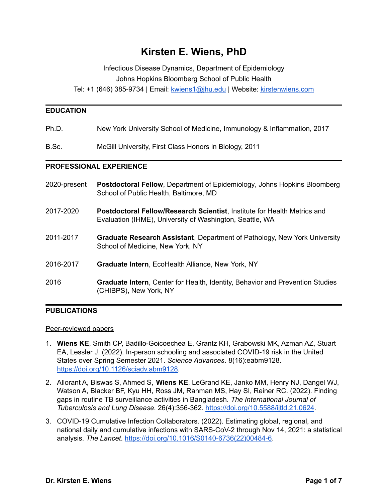# **Kirsten E. Wiens, PhD**

Infectious Disease Dynamics, Department of Epidemiology Johns Hopkins Bloomberg School of Public Health

Tel: +1 (646) 385-9734 | Email: [kwiens1@jhu.edu](mailto:kwiens1@jhu.edu) | Website: [kirstenwiens.com](https://kirstenwiens.com)

#### **EDUCATION**

Ph.D. New York University School of Medicine, Immunology & Inflammation, 2017

B.Sc. McGill University, First Class Honors in Biology, 2011

#### **PROFESSIONAL EXPERIENCE**

| 2020-present | <b>Postdoctoral Fellow, Department of Epidemiology, Johns Hopkins Bloomberg</b> |
|--------------|---------------------------------------------------------------------------------|
|              | School of Public Health, Baltimore, MD                                          |
|              |                                                                                 |

- 2017-2020 **Postdoctoral Fellow/Research Scientist**, Institute for Health Metrics and Evaluation (IHME), University of Washington, Seattle, WA
- 2011-2017 **Graduate Research Assistant**, Department of Pathology, New York University School of Medicine, New York, NY
- 2016-2017 **Graduate Intern**, EcoHealth Alliance, New York, NY
- 2016 **Graduate Intern**, Center for Health, Identity, Behavior and Prevention Studies (CHIBPS), New York, NY

#### **PUBLICATIONS**

#### Peer-reviewed papers

- 1. **Wiens KE**, Smith CP, Badillo-Goicoechea E, Grantz KH, Grabowski MK, Azman AZ, Stuart EA, Lessler J. (2022). In-person schooling and associated COVID-19 risk in the United States over Spring Semester 2021. *Science Advances*. 8(16):eabm9128. [https://doi.org/10.1126/sciadv.abm9128.](https://doi.org/10.1126/sciadv.abm9128)
- 2. Allorant A, Biswas S, Ahmed S, **Wiens KE**, LeGrand KE, Janko MM, Henry NJ, Dangel WJ, Watson A, Blacker BF, Kyu HH, Ross JM, Rahman MS, Hay SI, Reiner RC. (2022). Finding gaps in routine TB surveillance activities in Bangladesh. *The International Journal of Tuberculosis and Lung Disease.* 26(4):356-362. <https://doi.org/10.5588/ijtld.21.0624>.
- 3. COVID-19 Cumulative Infection Collaborators. (2022). Estimating global, regional, and national daily and cumulative infections with SARS-CoV-2 through Nov 14, 2021: a statistical analysis. *The Lancet*. [https://doi.org/10.1016/S0140-6736\(22\)00484-6](https://doi.org/10.1016/S0140-6736(22)00484-6).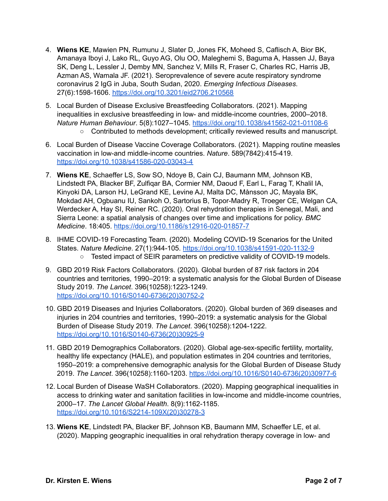- 4. **Wiens KE**, Mawien PN, Rumunu J, Slater D, Jones FK, Moheed S, Caflisch A, Bior BK, Amanaya Iboyi J, Lako RL, Guyo AG, Olu OO, Maleghemi S, Baguma A, Hassen JJ, Baya SK, Deng L, Lessler J, Demby MN, Sanchez V, Mills R, Fraser C, Charles RC, Harris JB, Azman AS, Wamala JF. (2021). Seroprevalence of severe acute respiratory syndrome coronavirus 2 IgG in Juba, South Sudan, 2020. *Emerging Infectious Diseases*. 27(6):1598-1606. <https://doi.org/10.3201/eid2706.210568>
- 5. Local Burden of Disease Exclusive Breastfeeding Collaborators. (2021). Mapping inequalities in exclusive breastfeeding in low- and middle-income countries, 2000–2018. *Nature Human Behaviour*. 5(8):1027–1045. <https://doi.org/10.1038/s41562-021-01108-6>
	- Contributed to methods development; critically reviewed results and manuscript.
- 6. Local Burden of Disease Vaccine Coverage Collaborators. (2021). Mapping routine measles vaccination in low-and middle-income countries. *Nature*. 589(7842):415-419. <https://doi.org/10.1038/s41586-020-03043-4>
- 7. **Wiens KE**, Schaeffer LS, Sow SO, Ndoye B, Cain CJ, Baumann MM, Johnson KB, Lindstedt PA, Blacker BF, Zulfiqar BA, Cormier NM, Daoud F, Earl L, Farag T, Khalil IA, Kinyoki DA, Larson HJ, LeGrand KE, Levine AJ, Malta DC, Månsson JC, Mayala BK, Mokdad AH, Ogbuanu IU, Sankoh O, Sartorius B, Topor-Madry R, Troeger CE, Welgan CA, Werdecker A, Hay SI, Reiner RC. (2020). Oral rehydration therapies in Senegal, Mali, and Sierra Leone: a spatial analysis of changes over time and implications for policy. *BMC Medicine*. 18:405. <https://doi.org/10.1186/s12916-020-01857-7>
- 8. IHME COVID-19 Forecasting Team. (2020). Modeling COVID-19 Scenarios for the United States. *Nature Medicine*. 27(1):944-105. <https://doi.org/10.1038/s41591-020-1132-9> ○ Tested impact of SEIR parameters on predictive validity of COVID-19 models.
- 9. GBD 2019 Risk Factors Collaborators. (2020). Global burden of 87 risk factors in 204 countries and territories, 1990–2019: a systematic analysis for the Global Burden of Disease Study 2019. *The Lancet*. 396(10258):1223-1249. [https://doi.org/10.1016/S0140-6736\(20\)30752-2](https://doi.org/10.1016/S0140-6736(20)30752-2)
- 10. GBD 2019 Diseases and Injuries Collaborators. (2020). Global burden of 369 diseases and injuries in 204 countries and territories, 1990–2019: a systematic analysis for the Global Burden of Disease Study 2019. *The Lancet*. 396(10258):1204-1222. [https://doi.org/10.1016/S0140-6736\(20\)30925-9](https://doi.org/10.1016/S0140-6736(20)30925-9)
- 11. GBD 2019 Demographics Collaborators. (2020). Global age-sex-specific fertility, mortality, healthy life expectancy (HALE), and population estimates in 204 countries and territories, 1950–2019: a comprehensive demographic analysis for the Global Burden of Disease Study 2019. *The Lancet*. 396(10258):1160-1203. [https://doi.org/10.1016/S0140-6736\(20\)30977-6](https://doi.org/10.1016/S0140-6736(20)30977-6)
- 12. Local Burden of Disease WaSH Collaborators. (2020). Mapping geographical inequalities in access to drinking water and sanitation facilities in low-income and middle-income countries, 2000–17. *The Lancet Global Health*. 8(9):1162-1185. [https://doi.org/10.1016/S2214-109X\(20\)30278-3](https://doi.org/10.1016/S2214-109X(20)30278-3)
- 13. **Wiens KE**, Lindstedt PA, Blacker BF, Johnson KB, Baumann MM, Schaeffer LE, et al. (2020). Mapping geographic inequalities in oral rehydration therapy coverage in low- and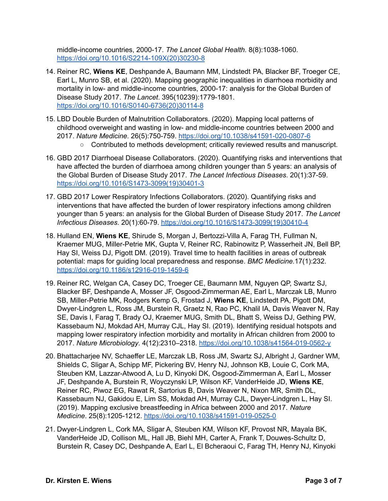middle-income countries, 2000-17. *The Lancet Global Health*. 8(8):1038-1060. [https://doi.org/10.1016/S2214-109X\(20\)30230-8](https://doi.org/10.1016/S2214-109X(20)30230-8)

- 14. Reiner RC, **Wiens KE**, Deshpande A, Baumann MM, Lindstedt PA, Blacker BF, Troeger CE, Earl L, Munro SB, et al. (2020). Mapping geographic inequalities in diarrhoea morbidity and mortality in low- and middle-income countries, 2000-17: analysis for the Global Burden of Disease Study 2017. *The Lancet*. 395(10239):1779-1801. [https://doi.org/10.1016/S0140-6736\(20\)30114-8](https://doi.org/10.1016/S0140-6736(20)30114-8)
- 15. LBD Double Burden of Malnutrition Collaborators. (2020). Mapping local patterns of childhood overweight and wasting in low- and middle-income countries between 2000 and 2017. *Nature Medicine*. 26(5):750-759. <https://doi.org/10.1038/s41591-020-0807-6>
	- Contributed to methods development; critically reviewed results and manuscript.
- 16. GBD 2017 Diarrhoeal Disease Collaborators. (2020). Quantifying risks and interventions that have affected the burden of diarrhoea among children younger than 5 years: an analysis of the Global Burden of Disease Study 2017. *The Lancet Infectious Diseases*. 20(1):37-59. [https://doi.org/10.1016/S1473-3099\(19\)30401-3](https://doi.org/10.1016/S1473-3099(19)30401-3)
- 17. GBD 2017 Lower Respiratory Infections Collaborators. (2020). Quantifying risks and interventions that have affected the burden of lower respiratory infections among children younger than 5 years: an analysis for the Global Burden of Disease Study 2017. *The Lancet Infectious Diseases*. 20(1):60-79. [https://doi.org/10.1016/S1473-3099\(19\)30410-4](https://doi.org/10.1016/S1473-3099(19)30410-4)
- 18. Hulland EN, **Wiens KE**, Shirude S, Morgan J, Bertozzi-Villa A, Farag TH, Fullman N, Kraemer MUG, Miller-Petrie MK, Gupta V, Reiner RC, Rabinowitz P, Wasserheit JN, Bell BP, Hay SI, Weiss DJ, Pigott DM. (2019). Travel time to health facilities in areas of outbreak potential: maps for guiding local preparedness and response. *BMC Medicine.*17(1):232. <https://doi.org/10.1186/s12916-019-1459-6>
- 19. Reiner RC, Welgan CA, Casey DC, Troeger CE, Baumann MM, Nguyen QP, Swartz SJ, Blacker BF, Deshpande A, Mosser JF, Osgood-Zimmerman AE, Earl L, Marczak LB, Munro SB, Miller-Petrie MK, Rodgers Kemp G, Frostad J, **Wiens KE**, Lindstedt PA, Pigott DM, Dwyer-Lindgren L, Ross JM, Burstein R, Graetz N, Rao PC, Khalil IA, Davis Weaver N, Ray SE, Davis I, Farag T, Brady OJ, Kraemer MUG, Smith DL, Bhatt S, Weiss DJ, Gething PW, Kassebaum NJ, Mokdad AH, Murray CJL, Hay SI. (2019). Identifying residual hotspots and mapping lower respiratory infection morbidity and mortality in African children from 2000 to 2017. *Nature Microbiology*. 4(12):2310–2318. <https://doi.org/10.1038/s41564-019-0562-y>
- 20. Bhattacharjee NV, Schaeffer LE, Marczak LB, Ross JM, Swartz SJ, Albright J, Gardner WM, Shields C, Sligar A, Schipp MF, Pickering BV, Henry NJ, Johnson KB, Louie C, Cork MA, Steuben KM, Lazzar-Atwood A, Lu D, Kinyoki DK, Osgood-Zimmerman A, Earl L, Mosser JF, Deshpande A, Burstein R, Woyczynski LP, Wilson KF, VanderHeide JD, **Wiens KE**, Reiner RC, Piwoz EG, Rawat R, Sartorius B, Davis Weaver N, Nixon MR, Smith DL, Kassebaum NJ, Gakidou E, Lim SS, Mokdad AH, Murray CJL, Dwyer-Lindgren L, Hay SI. (2019). Mapping exclusive breastfeeding in Africa between 2000 and 2017. *Nature Medicine*. 25(8):1205-1212. <https://doi.org/10.1038/s41591-019-0525-0>
- 21. Dwyer-Lindgren L, Cork MA, Sligar A, Steuben KM, Wilson KF, Provost NR, Mayala BK, VanderHeide JD, Collison ML, Hall JB, Biehl MH, Carter A, Frank T, Douwes-Schultz D, Burstein R, Casey DC, Deshpande A, Earl L, El Bcheraoui C, Farag TH, Henry NJ, Kinyoki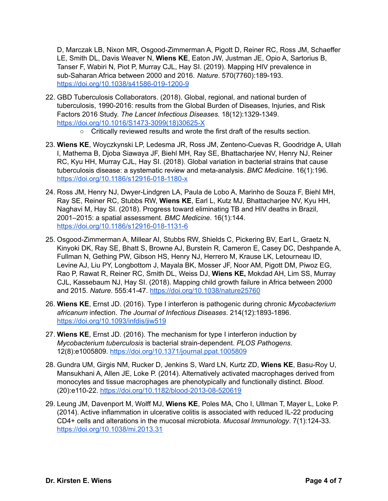D, Marczak LB, Nixon MR, Osgood-Zimmerman A, Pigott D, Reiner RC, Ross JM, Schaeffer LE, Smith DL, Davis Weaver N, **Wiens KE**, Eaton JW, Justman JE, Opio A, Sartorius B, Tanser F, Wabiri N, Piot P, Murray CJL, Hay SI. (2019). Mapping HIV prevalence in sub-Saharan Africa between 2000 and 2016. *Nature*. 570(7760):189-193. <https://doi.org/10.1038/s41586-019-1200-9>

- 22. GBD Tuberculosis Collaborators. (2018). Global, regional, and national burden of tuberculosis, 1990-2016: results from the Global Burden of Diseases, Injuries, and Risk Factors 2016 Study. *The Lancet Infectious Diseases.* 18(12):1329-1349. [https://doi.org/10.1016/S1473-3099\(18\)30625-X](https://doi.org/10.1016/S1473-3099(18)30625-X)
	- Critically reviewed results and wrote the first draft of the results section.
- 23. **Wiens KE**, Woyczkynski LP, Ledesma JR, Ross JM, Zenteno-Cuevas R, Goodridge A, Ullah I, Mathema B, Djoba Siawaya JF, Biehl MH, Ray SE, Bhattacharjee NV, Henry NJ, Reiner RC, Kyu HH, Murray CJL, Hay SI. (2018). Global variation in bacterial strains that cause tuberculosis disease: a systematic review and meta-analysis. *BMC Medicine*. 16(1):196. <https://doi.org/10.1186/s12916-018-1180-x>
- 24. Ross JM, Henry NJ, Dwyer-Lindgren LA, Paula de Lobo A, Marinho de Souza F, Biehl MH, Ray SE, Reiner RC, Stubbs RW, **Wiens KE**, Earl L, Kutz MJ, Bhattacharjee NV, Kyu HH, Naghavi M, Hay SI. (2018). Progress toward eliminating TB and HIV deaths in Brazil, 2001–2015: a spatial assessment. *BMC Medicine*. 16(1):144. <https://doi.org/10.1186/s12916-018-1131-6>
- 25. Osgood-Zimmerman A, Millear AI, Stubbs RW, Shields C, Pickering BV, Earl L, Graetz N, Kinyoki DK, Ray SE, Bhatt S, Browne AJ, Burstein R, Cameron E, Casey DC, Deshpande A, Fullman N, Gething PW, Gibson HS, Henry NJ, Herrero M, Krause LK, Letourneau ID, Levine AJ, Liu PY, Longbottom J, Mayala BK, Mosser JF, Noor AM, Pigott DM, Piwoz EG, Rao P, Rawat R, Reiner RC, Smith DL, Weiss DJ, **Wiens KE,** Mokdad AH, Lim SS, Murray CJL, Kassebaum NJ, Hay SI. (2018). Mapping child growth failure in Africa between 2000 and 2015. *Nature*. 555:41-47. <https://doi.org/10.1038/nature25760>
- 26. **Wiens KE**, Ernst JD. (2016). Type I interferon is pathogenic during chronic *Mycobacterium africanum* infection. *The Journal of Infectious Diseases*. 214(12):1893-1896. <https://doi.org/10.1093/infdis/jiw519>
- 27. **Wiens KE**, Ernst JD. (2016). The mechanism for type I interferon induction by *Mycobacterium tuberculosis* is bacterial strain-dependent. *PLOS Pathogens*. 12(8):e1005809. <https://doi.org/10.1371/journal.ppat.1005809>
- 28. Gundra UM, Girgis NM, Rucker D, Jenkins S, Ward LN, Kurtz ZD, **Wiens KE**, Basu-Roy U, Mansukhani A, Allen JE, Loke P. (2014). Alternatively activated macrophages derived from monocytes and tissue macrophages are phenotypically and functionally distinct. *Blood*. (20):e110-22. <https://doi.org/10.1182/blood-2013-08-520619>
- 29. Leung JM, Davenport M, Wolff MJ, **Wiens KE**, Poles MA, Cho I, Ullman T, Mayer L, Loke P. (2014). Active inflammation in ulcerative colitis is associated with reduced IL-22 producing CD4+ cells and alterations in the mucosal microbiota. *Mucosal Immunology*. 7(1):124-33. <https://doi.org/10.1038/mi.2013.31>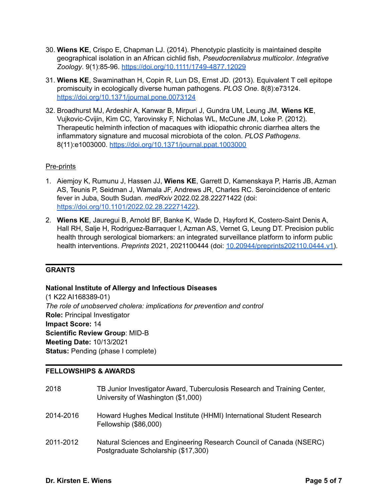- 30. **Wiens KE**, Crispo E, Chapman LJ. (2014). Phenotypic plasticity is maintained despite geographical isolation in an African cichlid fish, *Pseudocrenilabrus multicolor*. *Integrative Zoology*. 9(1):85-96. <https://doi.org/10.1111/1749-4877.12029>
- 31. **Wiens KE**, Swaminathan H, Copin R, Lun DS, Ernst JD. (2013). Equivalent T cell epitope promiscuity in ecologically diverse human pathogens. *PLOS One*. 8(8):e73124. <https://doi.org/10.1371/journal.pone.0073124>
- 32. Broadhurst MJ, Ardeshir A, Kanwar B, Mirpuri J, Gundra UM, Leung JM, **Wiens KE**, Vujkovic-Cvijin, Kim CC, Yarovinsky F, Nicholas WL, McCune JM, Loke P. (2012). Therapeutic helminth infection of macaques with idiopathic chronic diarrhea alters the inflammatory signature and mucosal microbiota of the colon. *PLOS Pathogens*. 8(11):e1003000. <https://doi.org/10.1371/journal.ppat.1003000>

## Pre-prints

- 1. Aiemjoy K, Rumunu J, Hassen JJ, **Wiens KE**, Garrett D, Kamenskaya P, Harris JB, Azman AS, Teunis P, Seidman J, Wamala JF, Andrews JR, Charles RC. Seroincidence of enteric fever in Juba, South Sudan. *medRxiv* 2022.02.28.22271422 (doi: [https://doi.org/10.1101/2022.02.28.22271422\)](https://doi.org/10.1101/2022.02.28.22271422).
- 2. **Wiens KE**, Jauregui B, Arnold BF, Banke K, Wade D, Hayford K, Costero-Saint Denis A, Hall RH, Salje H, Rodriguez-Barraquer I, Azman AS, Vernet G, Leung DT. Precision public health through serological biomarkers: an integrated surveillance platform to inform public health interventions. *Preprints* 2021, 2021100444 (doi: [10.20944/preprints202110.0444.v1\)](https://www.preprints.org/manuscript/202110.0444/v1).

## **GRANTS**

## **National Institute of Allergy and Infectious Diseases**

(1 K22 AI168389-01) *The role of unobserved cholera: implications for prevention and control* **Role:** Principal Investigator **Impact Score:** 14 **Scientific Review Group**: MID-B **Meeting Date:** 10/13/2021 **Status: Pending (phase I complete)** 

## **FELLOWSHIPS & AWARDS**

| 2018      | TB Junior Investigator Award, Tuberculosis Research and Training Center,<br>University of Washington (\$1,000) |
|-----------|----------------------------------------------------------------------------------------------------------------|
| 2014-2016 | Howard Hughes Medical Institute (HHMI) International Student Research<br>Fellowship (\$86,000)                 |
| 2011-2012 | Natural Sciences and Engineering Research Council of Canada (NSERC)<br>Postgraduate Scholarship (\$17,300)     |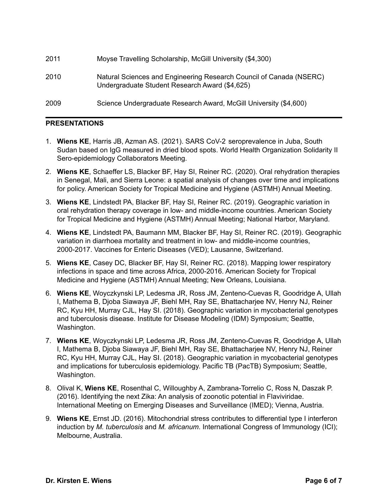| 2011 | Moyse Travelling Scholarship, McGill University (\$4,300)                                                             |
|------|-----------------------------------------------------------------------------------------------------------------------|
| 2010 | Natural Sciences and Engineering Research Council of Canada (NSERC)<br>Undergraduate Student Research Award (\$4,625) |
| 2009 | Science Undergraduate Research Award, McGill University (\$4,600)                                                     |

## **PRESENTATIONS**

- 1. **Wiens KE**, Harris JB, Azman AS. (2021). SARS CoV-2 seroprevalence in Juba, South Sudan based on IgG measured in dried blood spots. World Health Organization Solidarity II Sero-epidemiology Collaborators Meeting.
- 2. **Wiens KE**, Schaeffer LS, Blacker BF, Hay SI, Reiner RC. (2020). Oral rehydration therapies in Senegal, Mali, and Sierra Leone: a spatial analysis of changes over time and implications for policy. American Society for Tropical Medicine and Hygiene (ASTMH) Annual Meeting.
- 3. **Wiens KE**, Lindstedt PA, Blacker BF, Hay SI, Reiner RC. (2019). Geographic variation in oral rehydration therapy coverage in low- and middle-income countries. American Society for Tropical Medicine and Hygiene (ASTMH) Annual Meeting; National Harbor, Maryland.
- 4. **Wiens KE**, Lindstedt PA, Baumann MM, Blacker BF, Hay SI, Reiner RC. (2019). Geographic variation in diarrhoea mortality and treatment in low- and middle-income countries, 2000-2017. Vaccines for Enteric Diseases (VED); Lausanne, Switzerland.
- 5. **Wiens KE**, Casey DC, Blacker BF, Hay SI, Reiner RC. (2018). Mapping lower respiratory infections in space and time across Africa, 2000-2016. American Society for Tropical Medicine and Hygiene (ASTMH) Annual Meeting; New Orleans, Louisiana.
- 6. **Wiens KE**, Woyczkynski LP, Ledesma JR, Ross JM, Zenteno-Cuevas R, Goodridge A, Ullah I, Mathema B, Djoba Siawaya JF, Biehl MH, Ray SE, Bhattacharjee NV, Henry NJ, Reiner RC, Kyu HH, Murray CJL, Hay SI. (2018). Geographic variation in mycobacterial genotypes and tuberculosis disease. Institute for Disease Modeling (IDM) Symposium; Seattle, Washington.
- 7. **Wiens KE**, Woyczkynski LP, Ledesma JR, Ross JM, Zenteno-Cuevas R, Goodridge A, Ullah I, Mathema B, Djoba Siawaya JF, Biehl MH, Ray SE, Bhattacharjee NV, Henry NJ, Reiner RC, Kyu HH, Murray CJL, Hay SI. (2018). Geographic variation in mycobacterial genotypes and implications for tuberculosis epidemiology. Pacific TB (PacTB) Symposium; Seattle, Washington.
- 8. Olival K, **Wiens KE**, Rosenthal C, Willoughby A, Zambrana-Torrelio C, Ross N, Daszak P. (2016). Identifying the next Zika: An analysis of zoonotic potential in Flaviviridae. International Meeting on Emerging Diseases and Surveillance (IMED); Vienna, Austria.
- 9. **Wiens KE**, Ernst JD. (2016). Mitochondrial stress contributes to differential type I interferon induction by *M. tuberculosis* and *M. africanum*. International Congress of Immunology (ICI); Melbourne, Australia.